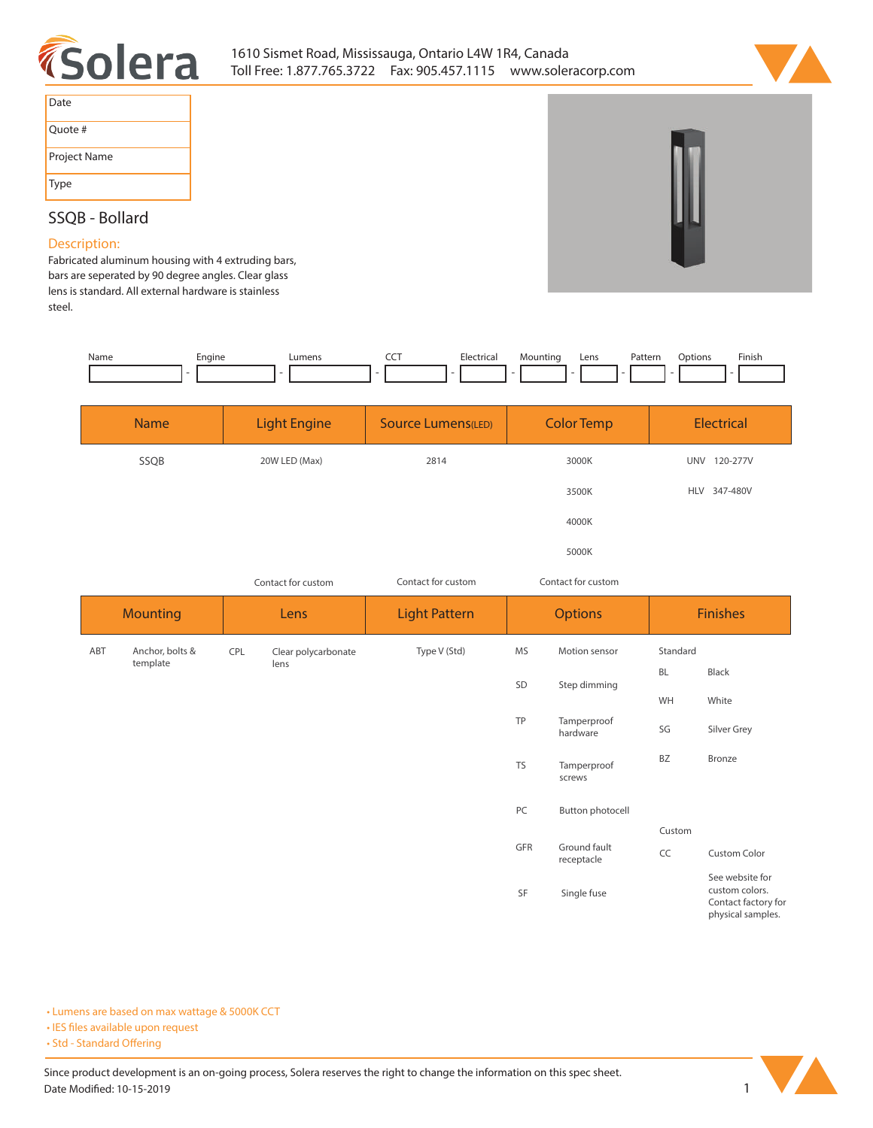



| Date         |
|--------------|
| Quote #      |
| Project Name |
| Type         |

## **SSQB - Bollard**

## **Description:**

**Fabricated aluminum housing with 4 extruding bars, bars are seperated by 90 degree angles. Clear glass lens is standard. All external hardware is stainless steel.** 

| Name | Engine | <b>umens</b> | --- | Electrical<br>. | Mountina | Lens | Patterr<br>. | otions ' | Finish |
|------|--------|--------------|-----|-----------------|----------|------|--------------|----------|--------|
|      |        |              |     |                 |          |      |              |          |        |

| <b>Name</b> | <b>Light Engine</b> | <b>Source Lumens(LED)</b> | <b>Color Temp</b> | Electrical             |
|-------------|---------------------|---------------------------|-------------------|------------------------|
| SSQB        | 20W LED (Max)       | 2814                      | 3000K             | <b>UNV</b><br>120-277V |
|             |                     |                           | 3500K             | HLV 347-480V           |
|             |                     |                           | 4000K             |                        |
|             |                     |                           | 5000K             |                        |

| Contact for custom | Contact for custom | Contact for custom |
|--------------------|--------------------|--------------------|
|                    |                    |                    |

|     | <b>Mounting</b> |     | Lens                | <b>Light Pattern</b> | <b>Options</b> |                            |           | <b>Finishes</b>                                                               |
|-----|-----------------|-----|---------------------|----------------------|----------------|----------------------------|-----------|-------------------------------------------------------------------------------|
| ABT | Anchor, bolts & | CPL | Clear polycarbonate | Type V (Std)         | MS             | Motion sensor              | Standard  |                                                                               |
|     | template        |     | lens                |                      | SD             | Step dimming               | <b>BL</b> | Black                                                                         |
|     |                 |     |                     |                      |                |                            | WH        | White                                                                         |
|     |                 |     |                     |                      | TP             | Tamperproof<br>hardware    | SG        | Silver Grey                                                                   |
|     |                 |     |                     |                      | <b>TS</b>      | Tamperproof<br>screws      | <b>BZ</b> | Bronze                                                                        |
|     |                 |     |                     |                      | PC             | Button photocell           |           |                                                                               |
|     |                 |     |                     |                      |                |                            | Custom    |                                                                               |
|     |                 |     |                     |                      | GFR            | Ground fault<br>receptacle | CC        | <b>Custom Color</b>                                                           |
|     |                 |     |                     |                      | SF             | Single fuse                |           | See website for<br>custom colors.<br>Contact factory for<br>physical samples. |

**• Lumens are based on max wattage & 5000K CCT**

**• IES files available upon request** 

• Std - Standard Offering

Since product development is an on-going process, Solera reserves the right to change the information on this spec sheet. **Date Modied: 10-15-2019 1**